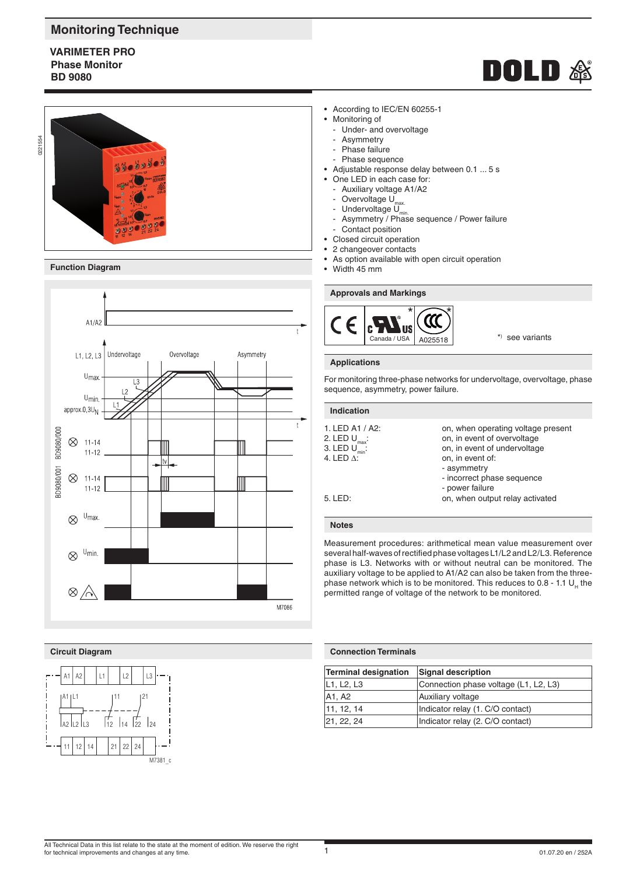## **Monitoring Technique**

## **VARIMETER PRO Phase Monitor BD 9080**



**Function Diagram**



### **Circuit Diagram**



- According to IEC/EN 60255-1
- Monitoring of
	- Under- and overvoltage
	- Asymmetry
	- Phase failure
	- Phase sequence
- Adjustable response delay between 0.1 ... 5 s
- One LED in each case for:
	- Auxiliary voltage A1/A2
	- Overvoltage U<sub>max.</sub>
	- Undervoltage U<sub>min.</sub>
	- Asymmetry / Phase sequence / Power failure
- Contact position
- Closed circuit operation 2 changeover contacts
- As option available with open circuit operation
- Width 45 mm

### **Approvals and Markings**



\*) see variants

**DOLD &** 

### **Applications**

For monitoring three-phase networks for undervoltage, overvoltage, phase sequence, asymmetry, power failure.

### **Indication**

| 1. LED A1 / A2:           | on, when operating voltage present |
|---------------------------|------------------------------------|
| 2. LED $U_{\text{max}}$ : | on, in event of overvoltage        |
| 3. LED $U_{\min}$ :       | on, in event of undervoltage       |
| 4. LED Δ:                 | on, in event of:                   |
|                           | - asymmetry                        |
|                           | - incorrect phase sequence         |
|                           | - power failure                    |
| 5. LED:                   | on, when output relay activated    |
|                           |                                    |
|                           |                                    |

### **Notes**

Measurement procedures: arithmetical mean value measurement over several half-waves of rectified phase voltages L1/L2 and L2/L3. Reference phase is L3. Networks with or without neutral can be monitored. The auxiliary voltage to be applied to A1/A2 can also be taken from the threephase network which is to be monitored. This reduces to  $0.8 - 1.1$  U<sub>u</sub> the permitted range of voltage of the network to be monitored.

### **Connection Terminals**

| <b>Terminal designation</b> | Signal description                    |
|-----------------------------|---------------------------------------|
| L1, L2, L3                  | Connection phase voltage (L1, L2, L3) |
| A1. A2                      | Auxiliary voltage                     |
| 11, 12, 14                  | Indicator relay (1. C/O contact)      |
| 21, 22, 24                  | Indicator relay (2. C/O contact)      |

### All Technical Data in this list relate to the state at the moment of edition. We reserve the right for technical improvements and changes at any time.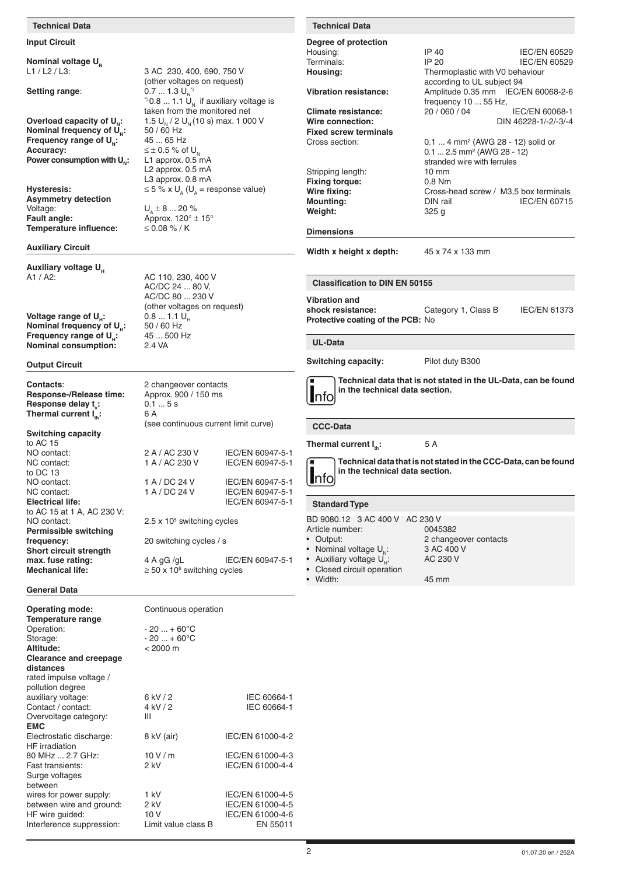### **Technical Data Technical Data**

### **Input Circuit**

**Nominal voltage**  $U_N$ 

**Nominal frequency of**  $\overrightarrow{U}_N$ **:** 50 / 60 Hz<br>**Frequency range of U.:** 45 ... 65 Hz **Frequency range of U<sub>N</sub>:**<br>Accuracy: **Power consumption with U<sub>n</sub>:** 

**Asymmetry detection** Voltage:  $U_A \pm 8 ... 20 \%$ <br> **Fault angle:** Approx. 120° ± **Temperature influence:** 

### **Auxiliary Circuit**

# **Auxiliary voltage U<sub>H</sub>**<br>A1 / A2:

**Voltage range of U<sub>H</sub>: 0.8 ... 1.1 U<br><b>Nominal frequency of U.:** 50 / 60 Hz **Nominal frequency of U<sub>H</sub>: 50 / 60 Hz<br><b>Frequency range of U<sub>u</sub>:** 45 ... 500 Hz **Frequency range of U<sub>H</sub>:** 45 ... 5<br>**Nominal consumption:** 2.4 VA **Nominal consumption:** 

### **Output Circuit**

**Contacts:** 2 changeover contacts<br> **Response-/Release time:** Approx. 900 / 150 ms **Response-/Release time: Response delay t<sub>v</sub>: Thermal current I<sub>n</sub>:** 6 A

### **Switching capacity**

to AC 15<sup>T</sup><br>NO contact: NO contact: 2 A / AC 230 V IEC/EN 60947-5-1<br>NC contact: 1 A / AC 230 V IEC/EN 60947-5-1 to DC 13<br>NO contact: NO contact: 1 A / DC 24 V IEC/EN 60947-5-1<br>NC contact: 1 A / DC 24 V IEC/EN 60947-5-1 NC contact: 1 A / DC 24 V IEC/EN 60947-5-1<br>
Electrical life: 1 Bec/EN 60947-5-1 to AC 15 at 1 A, AC 230 V: NO contact: **Permissible switching frequency:** 20 switching cycles / s **Short circuit strength Mechanical life:** 

### **General Data**

| <b>Operating mode:</b>          | Continuous operation |                  |
|---------------------------------|----------------------|------------------|
| Temperature range<br>Operation: | $-20  + 60^{\circ}C$ |                  |
| Storage:                        | $-20  + 60^{\circ}C$ |                  |
| Altitude:                       | $< 2000 \text{ m}$   |                  |
|                                 |                      |                  |
| <b>Clearance and creepage</b>   |                      |                  |
| distances                       |                      |                  |
| rated impulse voltage /         |                      |                  |
| pollution degree                |                      |                  |
| auxiliary voltage:              | 6 kV / 2             | IEC 60664-1      |
| Contact / contact:              | 4 kV / 2             | IEC 60664-1      |
| Overvoltage category:           | Ш                    |                  |
| <b>EMC</b>                      |                      |                  |
| Electrostatic discharge:        | 8 kV (air)           | IEC/EN 61000-4-2 |
| <b>HF</b> irradiation           |                      |                  |
| 80 MHz  2.7 GHz:                | 10V/m                | IEC/EN 61000-4-3 |
| Fast transients:                | $2$ kV               | IEC/EN 61000-4-4 |
| Surge voltages                  |                      |                  |
| between                         |                      |                  |
| wires for power supply:         | 1 kV                 | IEC/EN 61000-4-5 |
| between wire and ground:        | 2 kV                 | IEC/EN 61000-4-5 |
|                                 |                      |                  |
| HF wire guided:                 | 10 V                 | IEC/EN 61000-4-6 |
| Interference suppression:       | Limit value class B  | EN 55011         |

3 AC 230, 400, 690, 750 V (other voltages on request) **Setting range:**  $0.7 ... 1.3 U_{\text{N}}^{\dagger}$  $^{\gamma}$ 0.8 ... 1.1 U<sub>N</sub> if auxiliary voltage is taken from the monitored net **Overload capacity of**  $U_{N}:$   $1.5 U_{N}/2 U_{N}(10 s)$  max. 1 000 V<br>**Nominal frequency of U.:**  $50/60 Hz$  $\leq \pm 0.5$  % of U<sub>N</sub><br>L1 approx. 0.5 mA L2 approx. 0.5 mA L3 approx. 0.8 mA<br> $\text{H}$ **ysteresis:**  $\leq$  5 % x U<sub>s</sub> (U<sub>s</sub> = re  $\leq$  5 % x U<sub>s</sub> (U<sub>s</sub> = response value)

Approx.  $120^{\circ} \pm 15^{\circ}$ <br> $\leq 0.08$  % / K

AC 110, 230, 400 V AC/DC 24 ... 80 V, AC/DC 80 ... 230 V (other voltages on request)<br> $0.8 \dots 1.1 \text{ U}_{\text{H}}$ 

 $0.1...5s$ 

(see continuous current limit curve)

 $2.5 \times 10^5$  switching cycles

 $\geq$  50 x 10<sup>6</sup> switching cycles

**max. fuse rating:** 4 A gG /gL IEC/EN 60947-5-1

IEC/EN 60947-5-1

**Electrical life:** IEC/EN 60947-5-1

### **Degree of protection**

BD 9080.12 3 AC 400 V AC 230 V<br>Article number: 0045382 Article number:<br>• Output: 2 changeover contacts<br>3 AC 400 V Nominal voltage  $U_N$ : 3 AC 400<br>Auxiliary voltage  $U_U$ : AC 230 V Auxiliary voltage  $U_{\mu}$ : • Closed circuit operation Housing: IP 40 IEC/EN 60529<br>
Terminals: IP 20 IEC/EN 60529 **IEC/EN 60529** Housing: Thermoplastic with V0 behaviour according to UL subject 94<br>Vibration resistance: Amplitude 0.35 mm IEC/ **Vibration resistance:** Amplitude 0.35 mm IEC/EN 60068-2-6 frequency 10 ... 55 Hz,<br>20 / 060 / 04 **Climate resistance:** 20 / 060 / 04 IEC/EN 60068-1<br>Wire connection: DIN 46228-1/-2/-3/-4 **Wire connection:** DIN 46228-1/-2/-3/-4 **Fixed screw terminals** Cross section: 0.1 ... 4 mm² (AWG 28 - 12) solid or 0.1 ... 2.5 mm² (AWG 28 - 12) stranded wire with ferrules Stripping length: 10 mm<br>
Fixing torque: 0.8 Nm **Fixing torque:** Wire fixing: Cross-head screw / M3,5 box terminals **Mounting:** DIN rail IEC/EN 60715 **Weight:** 325 g **Dimensions Width x height x depth:** 45 x 74 x 133 mm **Thermal current I<sub>n</sub>: 5 A** nfo **Technical data that is not stated in the CCC-Data, can be found in the technical data section. Switching capacity:** Pilot duty B300 nfo **Technical data that is not stated in the UL-Data, can be found in the technical data section. Vibration and**  shock resistance: Category 1, Class B IEC/EN 61373 **Protective coating of the PCB:** No **Standard Type CCC-Data UL-Data Classification to DIN EN 50155**

• Width: 45 mm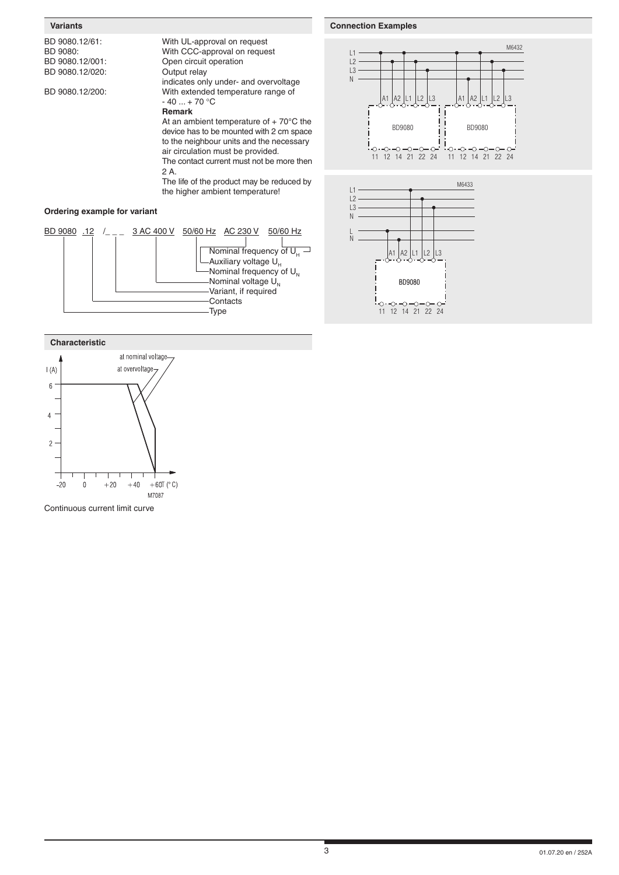### **Variants**

| BD 9080.12/61: |
|----------------|
| BD 9080:       |
| BD 9080.12/001 |
| DD 0000 10/000 |

With UL-approval on request With CCC-approval on request Open circuit operation

### BD 9080.12/020: Output relay

indicates only under- and overvoltage BD 9080.12/200: With extended temperature range of  $-40...+70 °C$ 

### **Remark**

At an ambient temperature of  $+70^{\circ}$ C the device has to be mounted with 2 cm space to the neighbour units and the necessary air circulation must be provided.

The contact current must not be more then 2 A.

The life of the product may be reduced by the higher ambient temperature!

## **Ordering example for variant**





Continuous current limit curve

### **Connection Examples**M6432 L1  $\overline{L2}$  $\overline{L}$ 3  $\overline{N}$ A1 |A2 |L1 |L2 |L3 |A1 |A2 |L1 A2 |L1 |L2 |L3 | |A1 |A2 |L1 |L2 |L3 BD9080 BD9080  $-0 - 0 - 0 - 0$  $\circ \cdot \circ \cdot \circ \neg \circ$  $\ddot{\circ}$  $\circ$  $\circ$ 11 12 14 21 22 24 11 12 14 21 22 24